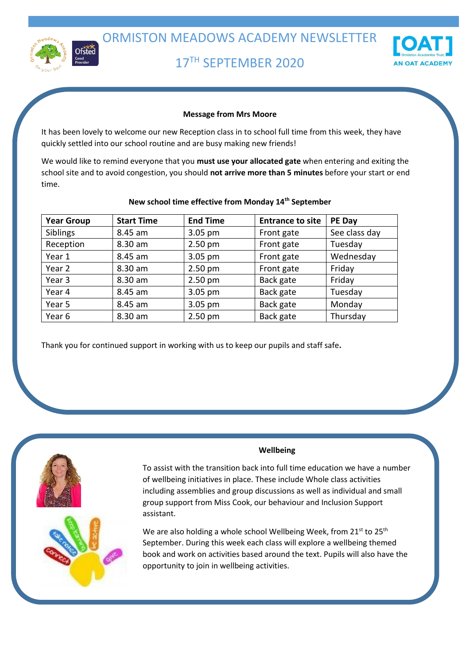

# 17 TH SEPTEMBER 2020



# **Message from Mrs Moore**

It has been lovely to welcome our new Reception class in to school full time from this week, they have quickly settled into our school routine and are busy making new friends!

We would like to remind everyone that you **must use your allocated gate** when entering and exiting the school site and to avoid congestion, you should **not arrive more than 5 minutes** before your start or end time.

| <b>Year Group</b> | <b>Start Time</b> | <b>End Time</b> | <b>Entrance to site</b> | PE Day        |
|-------------------|-------------------|-----------------|-------------------------|---------------|
| Siblings          | 8.45 am           | 3.05 pm         | Front gate              | See class day |
| Reception         | 8.30 am           | $2.50$ pm       | Front gate              | Tuesday       |
| Year 1            | 8.45 am           | 3.05 pm         | Front gate              | Wednesday     |
| Year 2            | 8.30 am           | 2.50 pm         | Front gate              | Friday        |
| Year 3            | 8.30 am           | 2.50 pm         | Back gate               | Friday        |
| Year 4            | 8.45 am           | 3.05 pm         | Back gate               | Tuesday       |
| Year 5            | 8.45 am           | 3.05 pm         | Back gate               | Monday        |
| Year <sub>6</sub> | 8.30 am           | 2.50 pm         | Back gate               | Thursday      |

# **New school time effective from Monday 14th September**

Thank you for continued support in working with us to keep our pupils and staff safe**.** 



# **Wellbeing**

To assist with the transition back into full time education we have a number of wellbeing initiatives in place. These include Whole class activities including assemblies and group discussions as well as individual and small group support from Miss Cook, our behaviour and Inclusion Support assistant.

We are also holding a whole school Wellbeing Week, from 21 $st$  to 25<sup>th</sup> September. During this week each class will explore a wellbeing themed book and work on activities based around the text. Pupils will also have the opportunity to join in wellbeing activities.